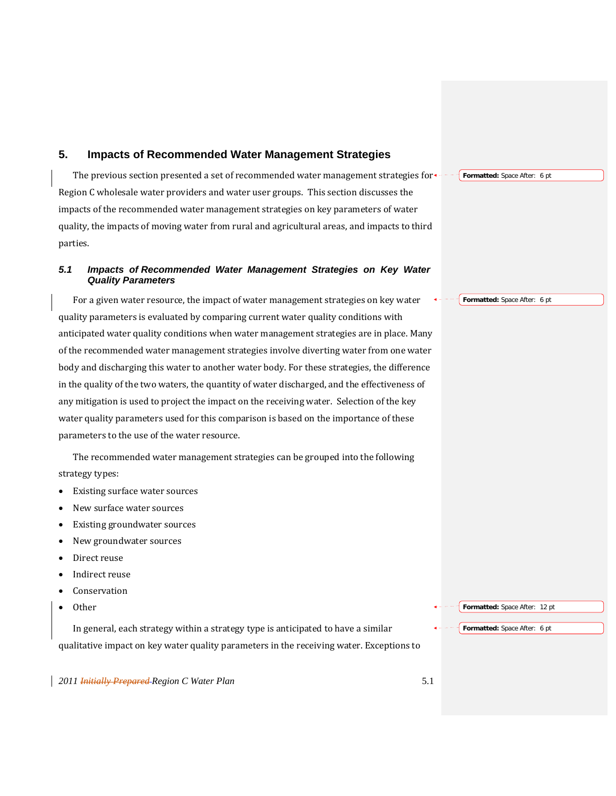# **5. Impacts of Recommended Water Management Strategies**

The previous section presented a set of recommended water management strategies for<sup>\*----</sup> Formatted: Space After: 6 pt Region C wholesale water providers and water user groups. This section discusses the impacts of the recommended water management strategies on key parameters of water quality, the impacts of moving water from rural and agricultural areas, and impacts to third parties.

# *5.1 Impacts of Recommended Water Management Strategies on Key Water Quality Parameters*

For a given water resource, the impact of water management strategies on key water quality parameters is evaluated by comparing current water quality conditions with anticipated water quality conditions when water management strategies are in place. Many of the recommended water management strategies involve diverting water from one water body and discharging this water to another water body. For these strategies, the difference in the quality of the two waters, the quantity of water discharged, and the effectiveness of any mitigation is used to project the impact on the receiving water. Selection of the key water quality parameters used for this comparison is based on the importance of these parameters to the use of the water resource.

The recommended water management strategies can be grouped into the following strategy types:

- Existing surface water sources
- New surface water sources
- Existing groundwater sources
- New groundwater sources
- Direct reuse
- Indirect reuse
- Conservation
- **Other**

In general, each strategy within a strategy type is anticipated to have a similar qualitative impact on key water quality parameters in the receiving water. Exceptions to **Formatted:** Space After: 12 pt

**Formatted:** Space After: 6 pt

*2011 Initially Prepared Region C Water Plan* 5.1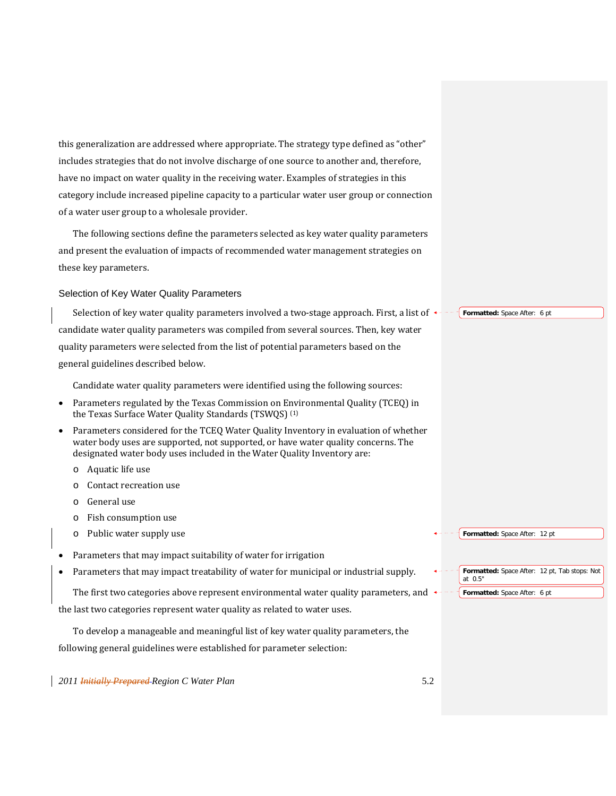this generalization are addressed where appropriate. The strategy type defined as "other" includes strategies that do not involve discharge of one source to another and, therefore, have no impact on water quality in the receiving water. Examples of strategies in this category include increased pipeline capacity to a particular water user group or connection of a water user group to a wholesale provider.

The following sections define the parameters selected as key water quality parameters and present the evaluation of impacts of recommended water management strategies on these key parameters.

### Selection of Key Water Quality Parameters

Selection of key water quality parameters involved a two-stage approach. First, a list of  $\star$ --- Formatted: Space After: 6 pt candidate water quality parameters was compiled from several sources. Then, key water quality parameters were selected from the list of potential parameters based on the general guidelines described below.

Candidate water quality parameters were identified using the following sources:

- Parameters regulated by the Texas Commission on Environmental Quality (TCEQ) in the Texas Surface Water Quality Standards (TSWQS) (1)
- Parameters considered for the TCEQ Water Quality Inventory in evaluation of whether water body uses are supported, not supported, or have water quality concerns. The designated water body uses included in the Water Quality Inventory are:
	- o Aquatic life use
	- o Contact recreation use
	- o General use
	- o Fish consumption use
	- o Public water supply use
- Parameters that may impact suitability of water for irrigation
- Parameters that may impact treatability of water for municipal or industrial supply.

The first two categories above represent environmental water quality parameters, and  $\leftarrow$ 

the last two categories represent water quality as related to water uses.

To develop a manageable and meaningful list of key water quality parameters, the following general guidelines were established for parameter selection:

*2011 Initially Prepared Region C Water Plan* 5.2

#### **Formatted:** Space After: 12 pt

**Formatted:** Space After: 12 pt, Tab stops: Not at 0.5"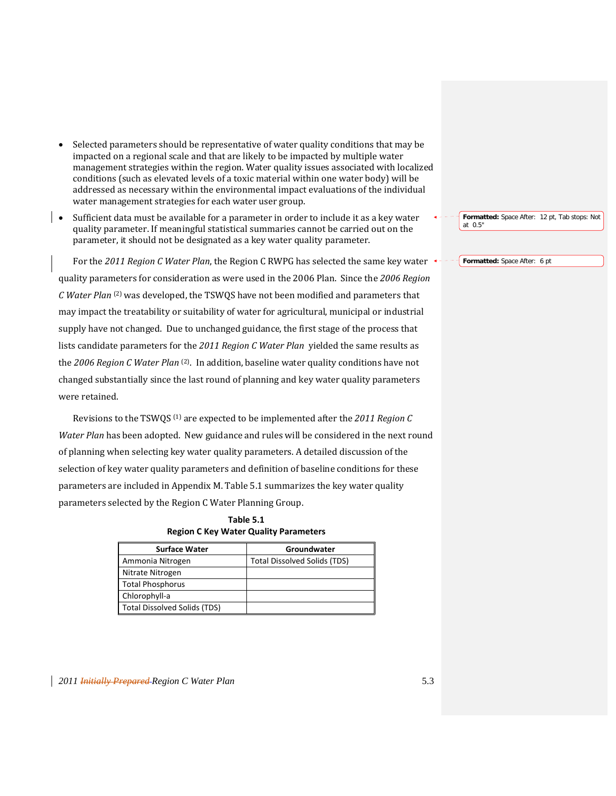- Selected parameters should be representative of water quality conditions that may be impacted on a regional scale and that are likely to be impacted by multiple water management strategies within the region. Water quality issues associated with localized conditions (such as elevated levels of a toxic material within one water body) will be addressed as necessary within the environmental impact evaluations of the individual water management strategies for each water user group.
- Sufficient data must be available for a parameter in order to include it as a key water quality parameter. If meaningful statistical summaries cannot be carried out on the parameter, it should not be designated as a key water quality parameter.

For the *2011 Region C Water Plan*, the Region C RWPG has selected the same key water quality parameters for consideration as were used in the 2006 Plan. Since the *2006 Region C Water Plan* (2) was developed, the TSWQS have not been modified and parameters that may impact the treatability or suitability of water for agricultural, municipal or industrial supply have not changed. Due to unchanged guidance, the first stage of the process that lists candidate parameters for the *2011 Region C Water Plan* yielded the same results as the *2006 Region C Water Plan* (2). In addition, baseline water quality conditions have not changed substantially since the last round of planning and key water quality parameters were retained.

Revisions to the TSWQS (1) are expected to be implemented after the *2011 Region C Water Plan* has been adopted. New guidance and rules will be considered in the next round of planning when selecting key water quality parameters. A detailed discussion of the selection of key water quality parameters and definition of baseline conditions for these parameters are included in Appendix M. Table 5.1 summarizes the key water quality parameters selected by the Region C Water Planning Group.

| Table 5.1                             |
|---------------------------------------|
| Region C Key Water Quality Parameters |

| <b>Surface Water</b>         | Groundwater                         |
|------------------------------|-------------------------------------|
| Ammonia Nitrogen             | <b>Total Dissolved Solids (TDS)</b> |
| Nitrate Nitrogen             |                                     |
| <b>Total Phosphorus</b>      |                                     |
| Chlorophyll-a                |                                     |
| Total Dissolved Solids (TDS) |                                     |

**Formatted:** Space After: 12 pt, Tab stops: Not at 0.5"

**Formatted:** Space After: 6 pt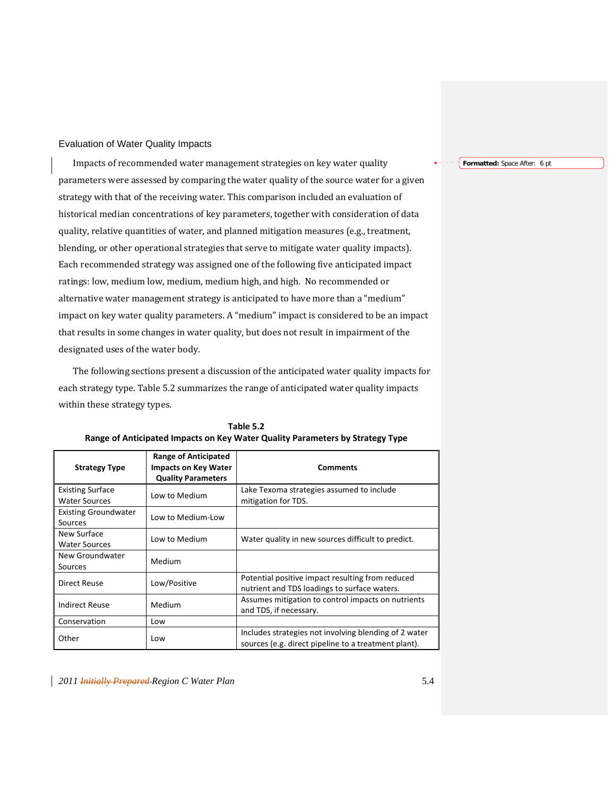# Evaluation of Water Quality Impacts

Impacts of recommended water management strategies on key water quality parameters were assessed by comparing the water quality of the source water for a given strategy with that of the receiving water. This comparison included an evaluation of historical median concentrations of key parameters, together with consideration of data quality, relative quantities of water, and planned mitigation measures (e.g., treatment, blending, or other operational strategies that serve to mitigate water quality impacts). Each recommended strategy was assigned one of the following five anticipated impact ratings: low, medium low, medium, medium high, and high. No recommended or alternative water management strategy is anticipated to have more than a "medium" impact on key water quality parameters. A "medium" impact is considered to be an impact that results in some changes in water quality, but does not result in impairment of the designated uses of the water body.

The following sections present a discussion of the anticipated water quality impacts for each strategy type. Table 5.2 summarizes the range of anticipated water quality impacts within these strategy types.

| <b>Strategy Type</b>                            | <b>Range of Anticipated</b><br><b>Impacts on Key Water</b><br><b>Quality Parameters</b> | <b>Comments</b>                                                                                               |
|-------------------------------------------------|-----------------------------------------------------------------------------------------|---------------------------------------------------------------------------------------------------------------|
| <b>Existing Surface</b><br><b>Water Sources</b> | Low to Medium                                                                           | Lake Texoma strategies assumed to include<br>mitigation for TDS.                                              |
| <b>Existing Groundwater</b><br>Sources          | Low to Medium-Low                                                                       |                                                                                                               |
| New Surface<br><b>Water Sources</b>             | Low to Medium                                                                           | Water quality in new sources difficult to predict.                                                            |
| New Groundwater<br>Sources                      | Medium                                                                                  |                                                                                                               |
| Direct Reuse                                    | Low/Positive                                                                            | Potential positive impact resulting from reduced<br>nutrient and TDS loadings to surface waters.              |
| <b>Indirect Reuse</b>                           | Medium                                                                                  | Assumes mitigation to control impacts on nutrients<br>and TDS, if necessary.                                  |
| Conservation                                    | Low                                                                                     |                                                                                                               |
| Other                                           | Low                                                                                     | Includes strategies not involving blending of 2 water<br>sources (e.g. direct pipeline to a treatment plant). |

**Table 5.2 Range of Anticipated Impacts on Key Water Quality Parameters by Strategy Type**

*2011 Initially Prepared Region C Water Plan* 5.4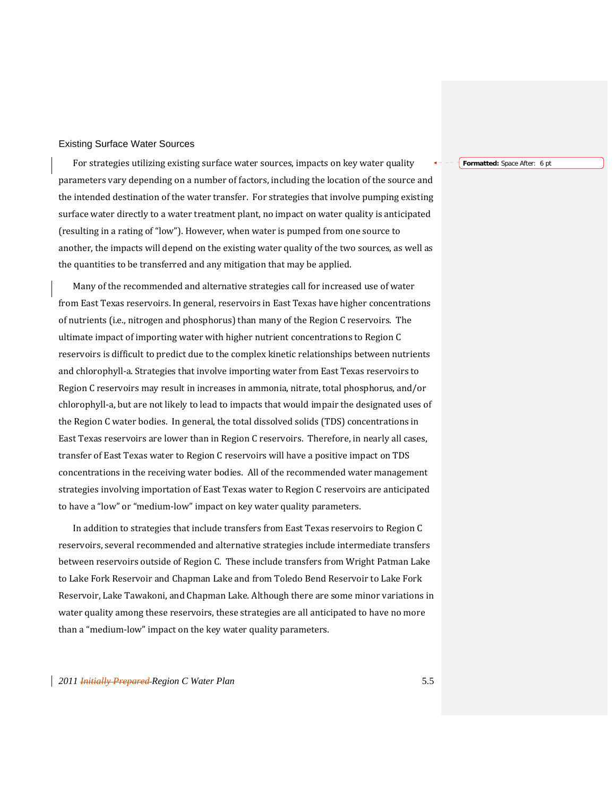### Existing Surface Water Sources

For strategies utilizing existing surface water sources, impacts on key water quality parameters vary depending on a number of factors, including the location of the source and the intended destination of the water transfer. For strategies that involve pumping existing surface water directly to a water treatment plant, no impact on water quality is anticipated (resulting in a rating of "low"). However, when water is pumped from one source to another, the impacts will depend on the existing water quality of the two sources, as well as the quantities to be transferred and any mitigation that may be applied.

Many of the recommended and alternative strategies call for increased use of water from East Texas reservoirs. In general, reservoirs in East Texas have higher concentrations of nutrients (i.e., nitrogen and phosphorus) than many of the Region C reservoirs. The ultimate impact of importing water with higher nutrient concentrations to Region C reservoirs is difficult to predict due to the complex kinetic relationships between nutrients and chlorophyll‐a. Strategies that involve importing water from East Texas reservoirs to Region C reservoirs may result in increases in ammonia, nitrate, total phosphorus, and/or chlorophyll‐a, but are not likely to lead to impacts that would impair the designated uses of the Region C water bodies. In general, the total dissolved solids (TDS) concentrations in East Texas reservoirs are lower than in Region C reservoirs. Therefore, in nearly all cases, transfer of East Texas water to Region C reservoirs will have a positive impact on TDS concentrations in the receiving water bodies. All of the recommended water management strategies involving importation of East Texas water to Region C reservoirs are anticipated to have a "low" or "medium‐low" impact on key water quality parameters.

In addition to strategies that include transfers from East Texas reservoirs to Region C reservoirs, several recommended and alternative strategies include intermediate transfers between reservoirs outside of Region C. These include transfers from Wright Patman Lake to Lake Fork Reservoir and Chapman Lake and from Toledo Bend Reservoir to Lake Fork Reservoir, Lake Tawakoni, and Chapman Lake. Although there are some minor variations in water quality among these reservoirs, these strategies are all anticipated to have no more than a "medium‐low" impact on the key water quality parameters.

# *2011 Initially Prepared Region C Water Plan* 5.5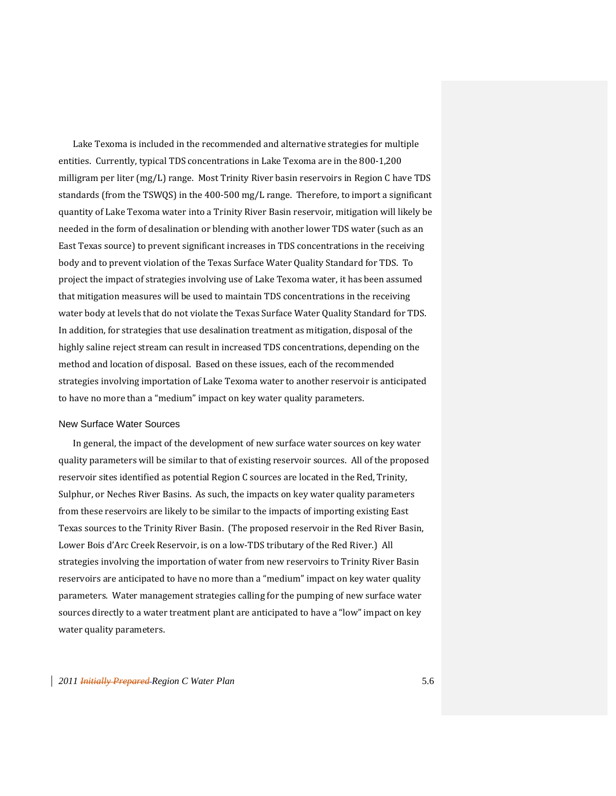Lake Texoma is included in the recommended and alternative strategies for multiple entities. Currently, typical TDS concentrations in Lake Texoma are in the 800‐1,200 milligram per liter (mg/L) range. Most Trinity River basin reservoirs in Region C have TDS standards (from the TSWQS) in the 400‐500 mg/L range. Therefore, to import a significant quantity of Lake Texoma water into a Trinity River Basin reservoir, mitigation will likely be needed in the form of desalination or blending with another lower TDS water (such as an East Texas source) to prevent significant increases in TDS concentrations in the receiving body and to prevent violation of the Texas Surface Water Quality Standard for TDS. To project the impact of strategies involving use of Lake Texoma water, it has been assumed that mitigation measures will be used to maintain TDS concentrations in the receiving water body at levels that do not violate the Texas Surface Water Quality Standard for TDS. In addition, for strategies that use desalination treatment as mitigation, disposal of the highly saline reject stream can result in increased TDS concentrations, depending on the method and location of disposal. Based on these issues, each of the recommended strategies involving importation of Lake Texoma water to another reservoir is anticipated to have no more than a "medium" impact on key water quality parameters.

### New Surface Water Sources

In general, the impact of the development of new surface water sources on key water quality parameters will be similar to that of existing reservoir sources. All of the proposed reservoir sites identified as potential Region C sources are located in the Red, Trinity, Sulphur, or Neches River Basins. As such, the impacts on key water quality parameters from these reservoirs are likely to be similar to the impacts of importing existing East Texas sources to the Trinity River Basin. (The proposed reservoir in the Red River Basin, Lower Bois d'Arc Creek Reservoir, is on a low‐TDS tributary of the Red River.) All strategies involving the importation of water from new reservoirs to Trinity River Basin reservoirs are anticipated to have no more than a "medium" impact on key water quality parameters. Water management strategies calling for the pumping of new surface water sources directly to a water treatment plant are anticipated to have a "low" impact on key water quality parameters.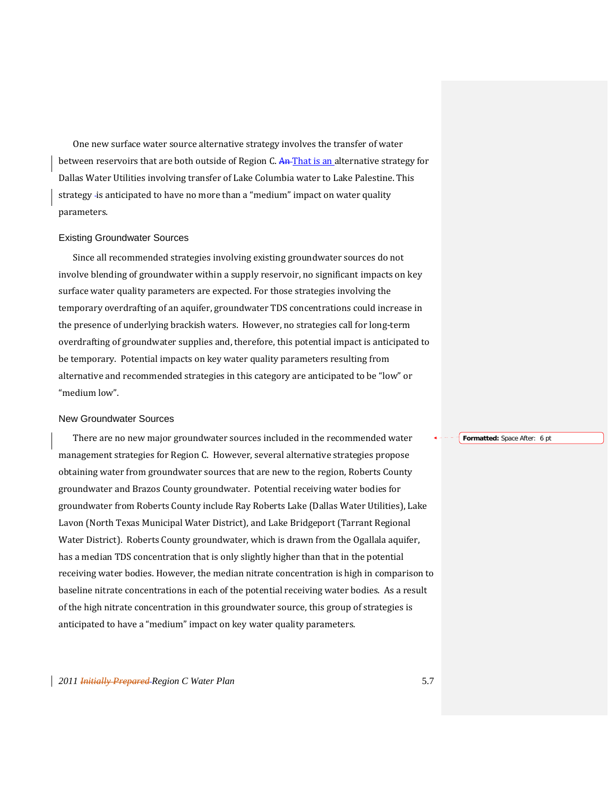One new surface water source alternative strategy involves the transfer of water between reservoirs that are both outside of Region C. An That is an alternative strategy for Dallas Water Utilities involving transfer of Lake Columbia water to Lake Palestine. This strategy -is anticipated to have no more than a "medium" impact on water quality parameters.

### Existing Groundwater Sources

Since all recommended strategies involving existing groundwater sources do not involve blending of groundwater within a supply reservoir, no significant impacts on key surface water quality parameters are expected. For those strategies involving the temporary overdrafting of an aquifer, groundwater TDS concentrations could increase in the presence of underlying brackish waters. However, no strategies call for long-term overdrafting of groundwater supplies and, therefore, this potential impact is anticipated to be temporary. Potential impacts on key water quality parameters resulting from alternative and recommended strategies in this category are anticipated to be "low" or "medium low".

#### New Groundwater Sources

There are no new major groundwater sources included in the recommended water management strategies for Region C. However, several alternative strategies propose obtaining water from groundwater sources that are new to the region, Roberts County groundwater and Brazos County groundwater. Potential receiving water bodies for groundwater from Roberts County include Ray Roberts Lake (Dallas Water Utilities), Lake Lavon (North Texas Municipal Water District), and Lake Bridgeport (Tarrant Regional Water District). Roberts County groundwater, which is drawn from the Ogallala aquifer, has a median TDS concentration that is only slightly higher than that in the potential receiving water bodies. However, the median nitrate concentration is high in comparison to baseline nitrate concentrations in each of the potential receiving water bodies. As a result of the high nitrate concentration in this groundwater source, this group of strategies is anticipated to have a "medium" impact on key water quality parameters.

**Formatted:** Space After: 6 pt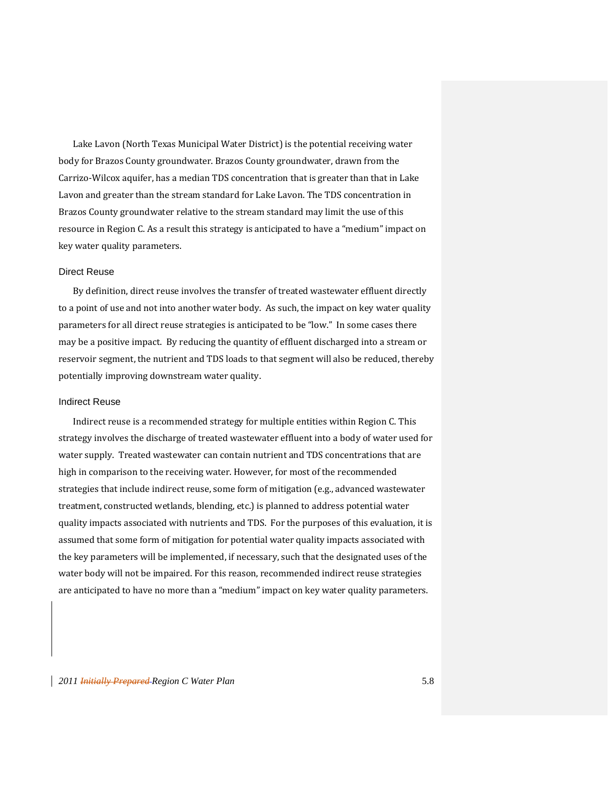Lake Lavon (North Texas Municipal Water District) is the potential receiving water body for Brazos County groundwater. Brazos County groundwater, drawn from the Carrizo‐Wilcox aquifer, has a median TDS concentration that is greater than that in Lake Lavon and greater than the stream standard for Lake Lavon. The TDS concentration in Brazos County groundwater relative to the stream standard may limit the use of this resource in Region C. As a result this strategy is anticipated to have a "medium" impact on key water quality parameters.

### Direct Reuse

By definition, direct reuse involves the transfer of treated wastewater effluent directly to a point of use and not into another water body. As such, the impact on key water quality parameters for all direct reuse strategies is anticipated to be "low." In some cases there may be a positive impact. By reducing the quantity of effluent discharged into a stream or reservoir segment, the nutrient and TDS loads to that segment will also be reduced, thereby potentially improving downstream water quality.

#### Indirect Reuse

Indirect reuse is a recommended strategy for multiple entities within Region C. This strategy involves the discharge of treated wastewater effluent into a body of water used for water supply. Treated wastewater can contain nutrient and TDS concentrations that are high in comparison to the receiving water. However, for most of the recommended strategies that include indirect reuse, some form of mitigation (e.g., advanced wastewater treatment, constructed wetlands, blending, etc.) is planned to address potential water quality impacts associated with nutrients and TDS. For the purposes of this evaluation, it is assumed that some form of mitigation for potential water quality impacts associated with the key parameters will be implemented, if necessary, such that the designated uses of the water body will not be impaired. For this reason, recommended indirect reuse strategies are anticipated to have no more than a "medium" impact on key water quality parameters.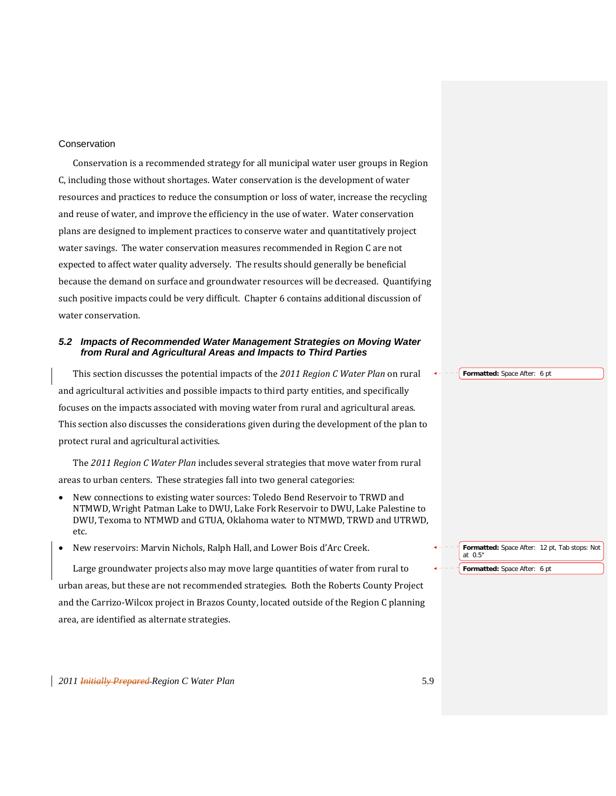# Conservation

Conservation is a recommended strategy for all municipal water user groups in Region C, including those without shortages. Water conservation is the development of water resources and practices to reduce the consumption or loss of water, increase the recycling and reuse of water, and improve the efficiency in the use of water. Water conservation plans are designed to implement practices to conserve water and quantitatively project water savings. The water conservation measures recommended in Region C are not expected to affect water quality adversely. The results should generally be beneficial because the demand on surface and groundwater resources will be decreased. Quantifying such positive impacts could be very difficult. Chapter 6 contains additional discussion of water conservation.

## *5.2 Impacts of Recommended Water Management Strategies on Moving Water from Rural and Agricultural Areas and Impacts to Third Parties*

This section discusses the potential impacts of the *2011 Region C Water Plan* on rural and agricultural activities and possible impacts to third party entities, and specifically focuses on the impacts associated with moving water from rural and agricultural areas. This section also discusses the considerations given during the development of the plan to protect rural and agricultural activities.

The *2011 Region C Water Plan* includes several strategies that move water from rural areas to urban centers. These strategies fall into two general categories:

- New connections to existing water sources: Toledo Bend Reservoir to TRWD and NTMWD, Wright Patman Lake to DWU, Lake Fork Reservoir to DWU, Lake Palestine to DWU, Texoma to NTMWD and GTUA, Oklahoma water to NTMWD, TRWD and UTRWD, etc.
- New reservoirs: Marvin Nichols, Ralph Hall, and Lower Bois d'Arc Creek.

Large groundwater projects also may move large quantities of water from rural to urban areas, but these are not recommended strategies. Both the Roberts County Project and the Carrizo‐Wilcox project in Brazos County, located outside of the Region C planning area, are identified as alternate strategies.

**Formatted:** Space After: 6 pt

**Formatted:** Space After: 12 pt, Tab stops: Not at 0.5" **Formatted:** Space After: 6 pt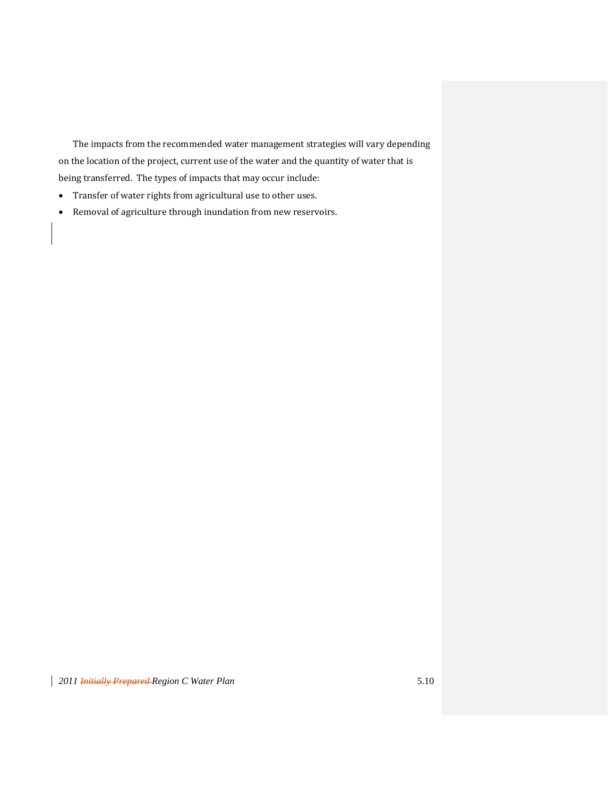The impacts from the recommended water management strategies will vary depending on the location of the project, current use of the water and the quantity of water that is being transferred. The types of impacts that may occur include:

- Transfer of water rights from agricultural use to other uses.
- Removal of agriculture through inundation from new reservoirs.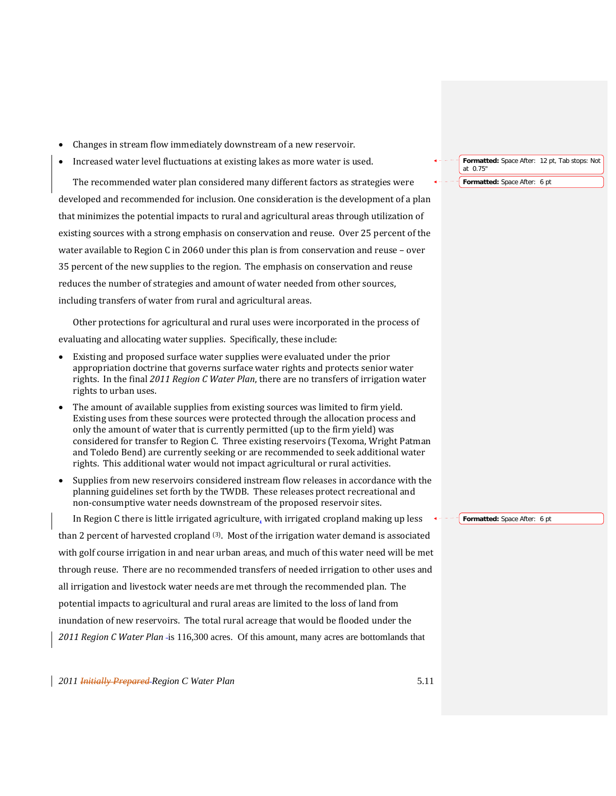- Changes in stream flow immediately downstream of a new reservoir.
- Increased water level fluctuations at existing lakes as more water is used.

The recommended water plan considered many different factors as strategies were developed and recommended for inclusion. One consideration is the development of a plan that minimizes the potential impacts to rural and agricultural areas through utilization of existing sources with a strong emphasis on conservation and reuse. Over 25 percent of the water available to Region C in 2060 under this plan is from conservation and reuse – over 35 percent of the new supplies to the region. The emphasis on conservation and reuse reduces the number of strategies and amount of water needed from other sources, including transfers of water from rural and agricultural areas.

Other protections for agricultural and rural uses were incorporated in the process of evaluating and allocating water supplies. Specifically, these include:

- Existing and proposed surface water supplies were evaluated under the prior appropriation doctrine that governs surface water rights and protects senior water rights. In the final *2011 Region C Water Plan*, there are no transfers of irrigation water rights to urban uses.
- The amount of available supplies from existing sources was limited to firm yield. Existing uses from these sources were protected through the allocation process and only the amount of water that is currently permitted (up to the firm yield) was considered for transfer to Region C. Three existing reservoirs (Texoma, Wright Patman and Toledo Bend) are currently seeking or are recommended to seek additional water rights. This additional water would not impact agricultural or rural activities.
- Supplies from new reservoirs considered instream flow releases in accordance with the planning guidelines set forth by the TWDB. These releases protect recreational and non‐consumptive water needs downstream of the proposed reservoir sites.

In Region C there is little irrigated agriculture, with irrigated cropland making up less than 2 percent of harvested cropland  $(3)$ . Most of the irrigation water demand is associated with golf course irrigation in and near urban areas, and much of this water need will be met through reuse. There are no recommended transfers of needed irrigation to other uses and all irrigation and livestock water needs are met through the recommended plan. The potential impacts to agricultural and rural areas are limited to the loss of land from inundation of new reservoirs. The total rural acreage that would be flooded under the *2011 Region C Water Plan* is 116,300 acres. Of this amount, many acres are bottomlands that

**Formatted:** Space After: 12 pt, Tab stops: Not at 0.75"

**Formatted:** Space After: 6 pt

**Formatted:** Space After: 6 pt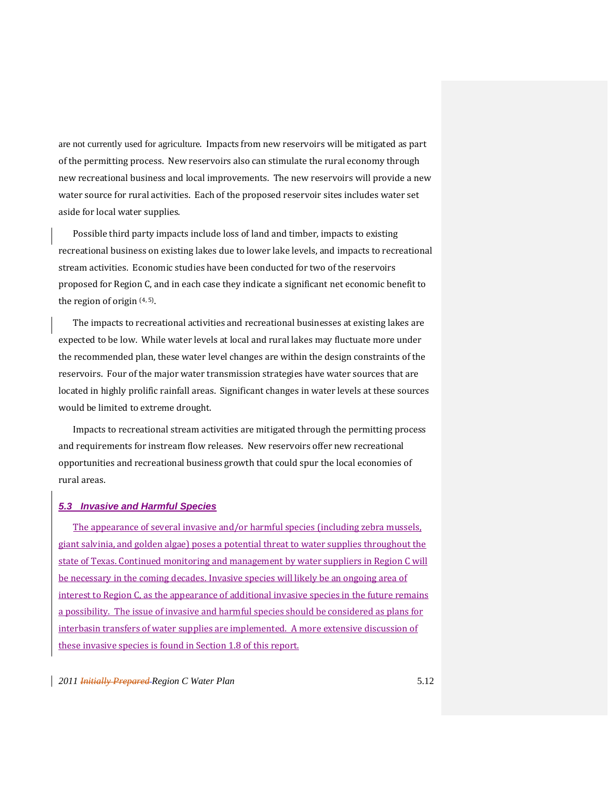are not currently used for agriculture. Impacts from new reservoirs will be mitigated as part of the permitting process. New reservoirs also can stimulate the rural economy through new recreational business and local improvements. The new reservoirs will provide a new water source for rural activities. Each of the proposed reservoir sites includes water set aside for local water supplies.

Possible third party impacts include loss of land and timber, impacts to existing recreational business on existing lakes due to lower lake levels, and impacts to recreational stream activities. Economic studies have been conducted for two of the reservoirs proposed for Region C, and in each case they indicate a significant net economic benefit to the region of origin  $(4, 5)$ .

The impacts to recreational activities and recreational businesses at existing lakes are expected to be low. While water levels at local and rural lakes may fluctuate more under the recommended plan, these water level changes are within the design constraints of the reservoirs. Four of the major water transmission strategies have water sources that are located in highly prolific rainfall areas. Significant changes in water levels at these sources would be limited to extreme drought.

Impacts to recreational stream activities are mitigated through the permitting process and requirements for instream flow releases. New reservoirs offer new recreational opportunities and recreational business growth that could spur the local economies of rural areas.

### *5.3 Invasive and Harmful Species*

The appearance of several invasive and/or harmful species (including zebra mussels, giant salvinia, and golden algae) poses a potential threat to water supplies throughout the state of Texas. Continued monitoring and management by water suppliers in Region C will be necessary in the coming decades. Invasive species will likely be an ongoing area of interest to Region C, as the appearance of additional invasive species in the future remains a possibility. The issue of invasive and harmful species should be considered as plans for interbasin transfers of water supplies are implemented. A more extensive discussion of these invasive species is found in Section 1.8 of this report.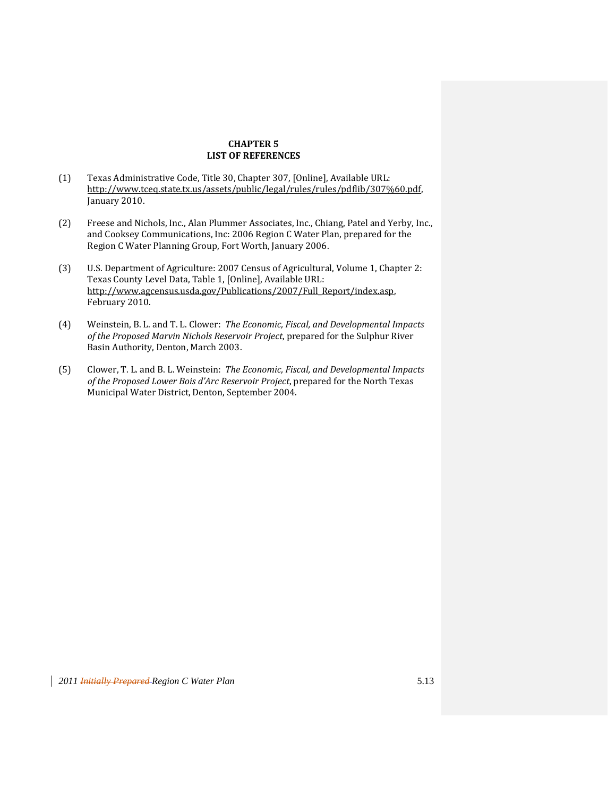# **CHAPTER 5 LIST OF REFERENCES**

- (1) Texas Administrative Code, Title 30, Chapter 307, [Online], Available URL: http://www.tceq.state.tx.us/assets/public/legal/rules/rules/pdflib/307%60.pdf, January 2010.
- (2) Freese and Nichols, Inc., Alan Plummer Associates, Inc., Chiang, Patel and Yerby, Inc., and Cooksey Communications, Inc: 2006 Region C Water Plan, prepared for the Region C Water Planning Group, Fort Worth, January 2006.
- (3) U.S. Department of Agriculture: 2007 Census of Agricultural, Volume 1, Chapter 2: Texas County Level Data, Table 1, [Online], Available URL: http://www.agcensus.usda.gov/Publications/2007/Full\_Report/index.asp, February 2010.
- (4) Weinstein, B. L. and T. L. Clower: *The Economic, Fiscal, and Developmental Impacts of the Proposed Marvin Nichols Reservoir Project*, prepared for the Sulphur River Basin Authority, Denton, March 2003.
- (5) Clower, T. L. and B. L. Weinstein: *The Economic, Fiscal, and Developmental Impacts of the Proposed Lower Bois d'Arc Reservoir Project*, prepared for the North Texas Municipal Water District, Denton, September 2004.